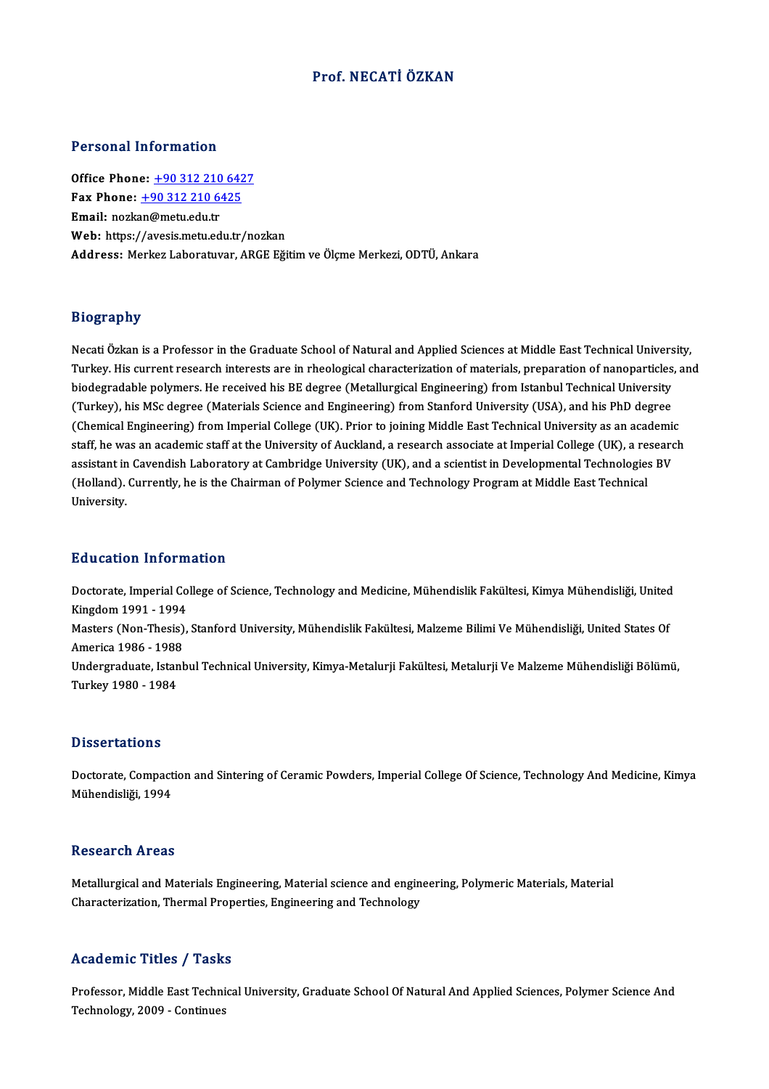## Prof.NECATİÖZKAN

#### Personal Information

Office Phone: +90 312 210 6427 Fax Phone: <u>+90 312 210 642</u><br>Fax Phone: <u>+90 312 210 6425</u><br>Fmail: norkan@matu.edu.tr Office Phone: <u>+90 312 210</u><br>Fax Phone: <u>+90 312 210 64</u><br>Email: nozk[an@metu.edu.tr](tel:+90 312 210 6425) Email: nozkan@metu.edu.tr<br>Web: https://avesis.metu.edu.tr/nozkan Address: Merkez Laboratuvar, ARGE Eğitim ve Ölçme Merkezi, ODTÜ, Ankara

#### Biography

**Biography<br>Necati Özkan is a Professor in the Graduate School of Natural and Applied Sciences at Middle East Technical University,<br>Turkey, His gurrent research interests are in rheelegical characterization of materials, pr** Turkey.<br>Turkey. His current research in the Graduate School of Natural and Applied Sciences at Middle East Technical University,<br>Turkey. His current research interests are in rheological characterization of materials, prep Necati Özkan is a Professor in the Graduate School of Natural and Applied Sciences at Middle East Technical Univers<br>Turkey. His current research interests are in rheological characterization of materials, preparation of na Turkey. His current research interests are in rheological characterization of materials, preparation of nanoparticles, and<br>biodegradable polymers. He received his BE degree (Metallurgical Engineering) from Istanbul Technic (Chemical Engineering) from Imperial College (UK). Prior to joining Middle East Technical University as an academic (Turkey), his MSc degree (Materials Science and Engineering) from Stanford University (USA), and his PhD degree<br>(Chemical Engineering) from Imperial College (UK). Prior to joining Middle East Technical University as an aca (Chemical Engineering) from Imperial College (UK). Prior to joining Middle East Technical University as an academic<br>staff, he was an academic staff at the University of Auckland, a research associate at Imperial College (U staff, he was an academic staff at the University of Auckland, a research associate at Imperial College (UK), a re<br>assistant in Cavendish Laboratory at Cambridge University (UK), and a scientist in Developmental Technologi assistant in Cavendish Laboratory at Cambridge University (UK), and a scientist in Developmental Technologies BV<br>(Holland). Currently, he is the Chairman of Polymer Science and Technology Program at Middle East Technical<br>U

#### Education Information

Doctorate, Imperial College of Science, Technology and Medicine, Mühendislik Fakültesi, Kimya Mühendisliği, United Kingdom1991 -1994 Doctorate, Imperial College of Science, Technology and Medicine, Mühendislik Fakültesi, Kimya Mühendisliği, United<br>Kingdom 1991 - 1994<br>Masters (Non-Thesis), Stanford University, Mühendislik Fakültesi, Malzeme Bilimi Ve Müh Kingdom 1991 - 1994<br>Masters (Non-Thesis)<br>America 1986 - 1988<br>Undergraduate Istan Masters (Non-Thesis), Stanford University, Mühendislik Fakültesi, Malzeme Bilimi Ve Mühendisliği, United States Of<br>America 1986 - 1988<br>Undergraduate, Istanbul Technical University, Kimya-Metalurji Fakültesi, Metalurji Ve M America 1986 - 1988<br>Undergraduate, Istanbul Technical University, Kimya-Metalurji Fakültesi, Metalurji Ve Malzeme Mühendisliği Bölümü,<br>Turkey 1980 - 1984

#### **Dissertations**

Dissertations<br>Doctorate, Compaction and Sintering of Ceramic Powders, Imperial College Of Science, Technology And Medicine, Kimya<br>Mühandisliği, 1994 2 19901 tatrone<br>Doctorate, Compact<br>Mühendisliği, 1994 Mühendisliği, 1994<br>Research Areas

Research Areas<br>Metallurgical and Materials Engineering, Material science and engineering, Polymeric Materials, Material<br>Characterigation, Thermal Properties, Engineering and Technology resear on III sas<br>Metallurgical and Materials Engineering, Material science and engin<br>Characterization, Thermal Properties, Engineering and Technology Characterization, Thermal Properties, Engineering and Technology<br>Academic Titles / Tasks

Professor, Middle East Technical University, Graduate School Of Natural And Applied Sciences, Polymer Science And Technology,2009 -Continues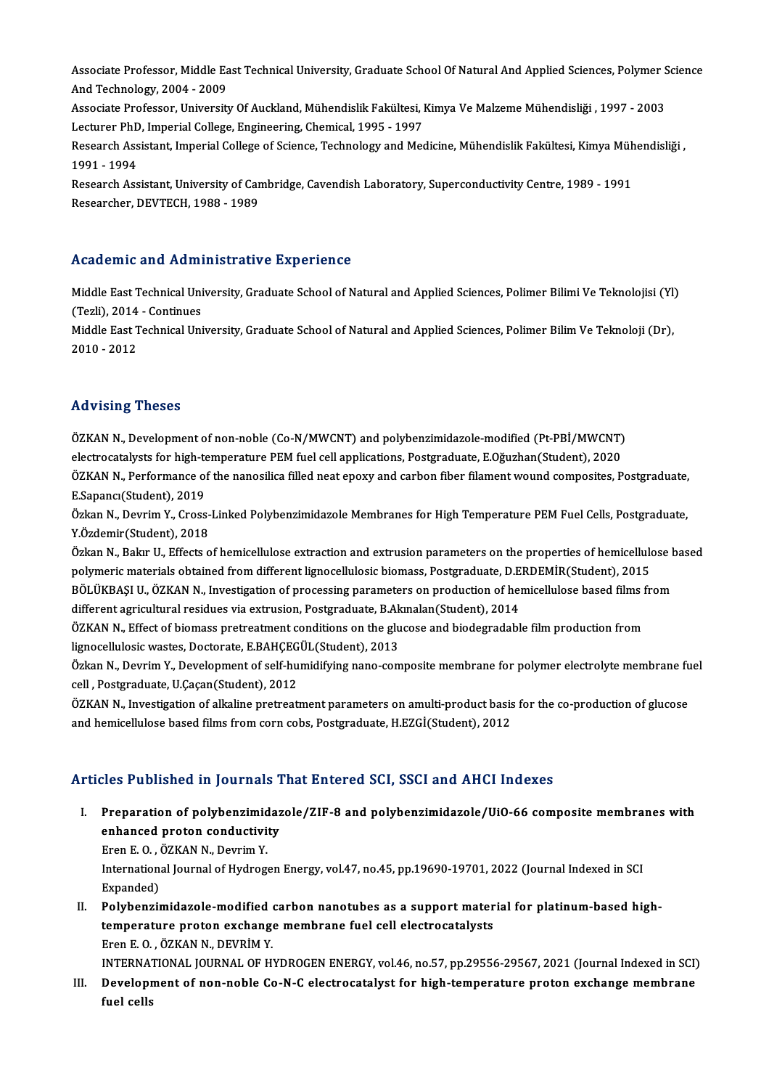Associate Professor, Middle East Technical University, Graduate School Of Natural And Applied Sciences, Polymer Science<br>And Technology, 2004, 2009 Associate Professor, Middle Ea<br>And Technology, 2004 - 2009<br>Associate Professor, University Associate Professor, Middle East Technical University, Graduate School Of Natural And Applied Sciences, Polymer S<br>And Technology, 2004 - 2009<br>Associate Professor, University Of Auckland, Mühendislik Fakültesi, Kimya Ve Mal

And Technology, 2004 - 2009<br>Associate Professor, University Of Auckland, Mühendislik Fakültesi, I<br>Lecturer PhD, Imperial College, Engineering, Chemical, 1995 - 1997<br>Besearsh Assistant, Imperial College, of Science, Technol Associate Professor, University Of Auckland, Mühendislik Fakültesi, Kimya Ve Malzeme Mühendisliği , 1997 - 2003<br>Lecturer PhD, Imperial College, Engineering, Chemical, 1995 - 1997<br>Research Assistant, Imperial College of Sci

Lecturer PhD<br>Research Ass<br>1991 - 1994<br>Besearch Ass Research Assistant, Imperial College of Science, Technology and Medicine, Mühendislik Fakültesi, Kimya Müh<br>1991 - 1994<br>Research Assistant, University of Cambridge, Cavendish Laboratory, Superconductivity Centre, 1989 - 199

1991 - 1994<br>Research Assistant, University of Cambridge, Cavendish Laboratory, Superconductivity Centre, 1989 - 1991<br>Researcher, DEVTECH, 1988 - 1989

## Academic and Administrative Experience

Academic and Administrative Experience<br>Middle East Technical University, Graduate School of Natural and Applied Sciences, Polimer Bilimi Ve Teknolojisi (Yl)<br>(Terli), 2014, Centinues Middle East Technical Unix<br>(Tezli), 2014 - Continues<br>Middle Fest Technical Unix Middle East Technical University, Graduate School of Natural and Applied Sciences, Polimer Bilimi Ve Teknolojisi (Yl<br>(Tezli), 2014 - Continues<br>Middle East Technical University, Graduate School of Natural and Applied Scienc

(Tezli), 2014<br>Middle East 1<br>2010 - 2012

## Advising Theses

ÖZKAN N., Development of non-noble (Co-N/MWCNT) and polybenzimidazole-modified (Pt-PBİ/MWCNT) electrocatalysts for high-temperature PEM fuel cell applications, Postgraduate, E.Oğuzhan(Student), 2020 ÖZKAN N., Development of non-noble (Co-N/MWCNT) and polybenzimidazole-modified (Pt-PBİ/MWCNT)<br>electrocatalysts for high-temperature PEM fuel cell applications, Postgraduate, E.Oğuzhan(Student), 2020<br>ÖZKAN N., Performance o electrocatalysts for high-te<br>ÖZKAN N., Performance of<br>E.Sapancı(Student), 2019<br>Özkan N., Devrim Y., Cross ÖZKAN N., Performance of the nanosilica filled neat epoxy and carbon fiber filament wound composites, Postgraduate,<br>E.Sapancı(Student), 2019<br>Özkan N., Devrim Y., Cross-Linked Polybenzimidazole Membranes for High Temperatur

E.Sapancı(Student), 2019<br>Özkan N., Devrim Y., Cross-Linked Polybenzimidazole Membranes for High Temperature PEM Fuel Cells, Postgraduate,<br>Y.Özdemir(Student), 2018

Özkan N., Bakır U., Effects of hemicellulose extraction and extrusion parameters on the properties of hemicellulose based y.Özdemir(Student), 2018<br>Özkan N., Bakır U., Effects of hemicellulose extraction and extrusion parameters on the properties of hemicellulo<br>polymeric materials obtained from different lignocellulosic biomass, Postgraduate, Özkan N., Bakır U., Effects of hemicellulose extraction and extrusion parameters on the properties of hemicellulose b<br>polymeric materials obtained from different lignocellulosic biomass, Postgraduate, D.ERDEMİR(Student), 2 polymeric materials obtained from different lignocellulosic biomass, Postgraduate, D.E<br>BÖLÜKBAŞI U., ÖZKAN N., Investigation of processing parameters on production of hel<br>different agricultural residues via extrusion, Post BÖLÜKBAŞI U., ÖZKAN N., Investigation of processing parameters on production of hemicellulose based films f<br>different agricultural residues via extrusion, Postgraduate, B.Akınalan(Student), 2014<br>ÖZKAN N., Effect of biomass

different agricultural residues via extrusion, Postgraduate, B.Ak<br>ÖZKAN N., Effect of biomass pretreatment conditions on the glu<br>lignocellulosic wastes, Doctorate, E.BAHÇEGÜL(Student), 2013<br>Özkan N. Devrim Y. Develenment o ÖZKAN N., Effect of biomass pretreatment conditions on the glucose and biodegradable film production from<br>lignocellulosic wastes, Doctorate, E.BAHÇEGÜL(Student), 2013<br>Özkan N., Devrim Y., Development of self-humidifying na

lignocellulosic wastes, Doctorate, E.BAHÇEGÜL(Student), 2013<br>Özkan N., Devrim Y., Development of self-humidifying nano-composite membrane for polymer electrolyte membrane fu<br>cell , Postgraduate, U.Çaçan(Student), 2012<br>ÖZKA Özkan N., Devrim Y., Development of self-humidifying nano-composite membrane for polymer electrolyte membrane fu<br>cell , Postgraduate, U.Çaçan(Student), 2012<br>ÖZKAN N., Investigation of alkaline pretreatment parameters on am

and hemicellulose based films from corn cobs, Postgraduate, H.EZGİ(Student), 2012

## Articles Published in Journals That Entered SCI, SSCI and AHCI Indexes

rticles Published in Journals That Entered SCI, SSCI and AHCI Indexes<br>I. Preparation of polybenzimidazole/ZIF-8 and polybenzimidazole/UiO-66 composite membranes with<br>enhanced proton conductivity ends a distincted in journalistic<br>Preparation of polybenzimidaz<br>Enen E.O. ÖZKAN N. Deurim V Preparation of polybenzimid<br>enhanced proton conductivi<br>Eren E. O. , ÖZKAN N., Devrim Y.<br>International Journal of Hydnog

enhanced proton conductivity<br>Eren E. O. , ÖZKAN N., Devrim Y.<br>International Journal of Hydrogen Energy, vol.47, no.45, pp.19690-19701, 2022 (Journal Indexed in SCI Eren E.O., O<br>Internation<br>Expanded)<br>Polybongi International Journal of Hydrogen Energy, vol.47, no.45, pp.19690-19701, 2022 (Journal Indexed in SCI<br>Expanded)<br>II. Polybenzimidazole-modified carbon nanotubes as a support material for platinum-based high-<br>temperature pro

Expanded)<br>Polybenzimidazole-modified carbon nanotubes as a support mater<br>temperature proton exchange membrane fuel cell electrocatalysts<br>Fren E.O., ÖZKAN N. DEVRİM V Polybenzimidazole-modified<br>temperature proton exchang<br>Eren E. O., ÖZKAN N., DEVRİMY.<br>INTERNATIONAL JOUPNAL OE U. Eren E. O. , ÖZKAN N., DEVRİM Y.<br>INTERNATIONAL JOURNAL OF HYDROGEN ENERGY, vol.46, no.57, pp.29556-29567, 2021 (Journal Indexed in SCI)

Eren E. O. , ÖZKAN N., DEVRİM Y.<br>INTERNATIONAL JOURNAL OF HYDROGEN ENERGY, vol.46, no.57, pp.29556-29567, 2021 (Journal Indexed in SCI)<br>III. Development of non-noble Co-N-C electrocatalyst for high-temperature proton e INTERNA'<br>Develop<mark>i</mark><br>fuel cells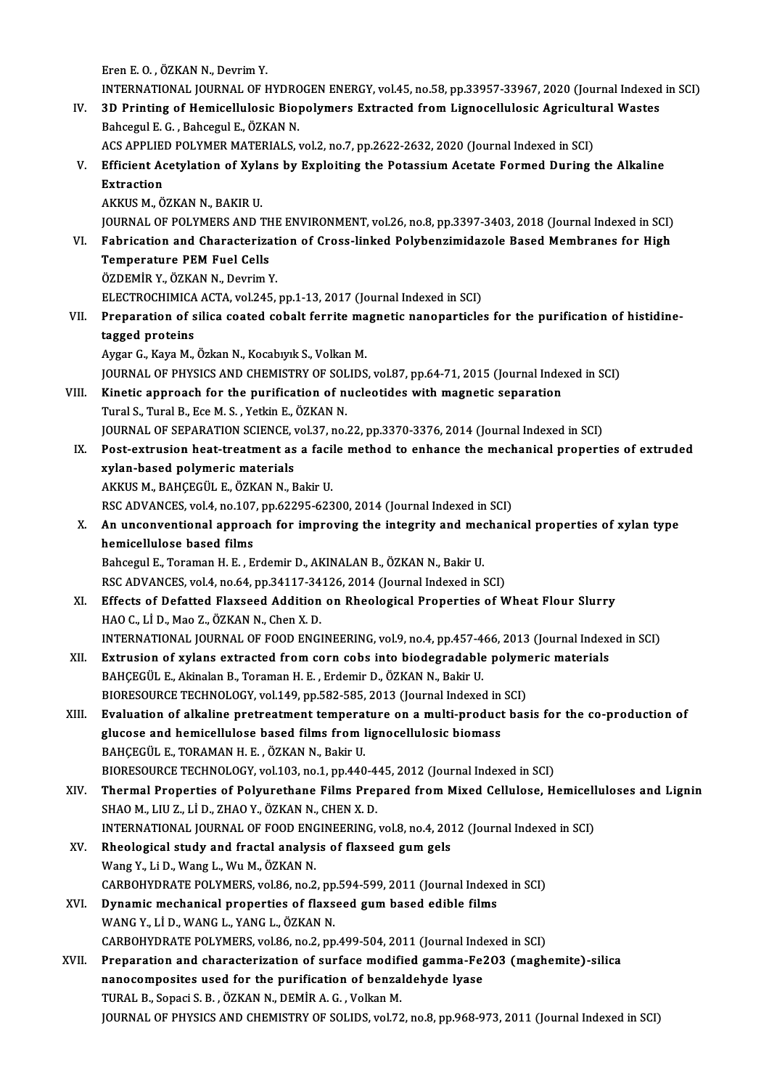Eren E.O., ÖZKAN N., Devrim Y.

Eren E. O. , ÖZKAN N., Devrim Y.<br>INTERNATIONAL JOURNAL OF HYDROGEN ENERGY, vol.45, no.58, pp.33957-33967, 2020 (Journal Indexed in SCI)<br>2D Printing of Homicallylogia Bionalymans Extrasted from Lignasallylogia Agricultural

Eren E. O. , ÖZKAN N., Devrim Y.<br>INTERNATIONAL JOURNAL OF HYDROGEN ENERGY, vol.45, no.58, pp.33957-33967, 2020 (Journal Indexed<br>IV. 3D Printing of Hemicellulosic Biopolymers Extracted from Lignocellulosic Agricultural Wast INTERNATIONAL JOURNAL OF HYDRC<br>3D Printing of Hemicellulosic Bio<sub>l</sub><br>Bahcegul E. G. , Bahcegul E., ÖZKAN N.<br>ACS APPLIED POLYMER MATERIALS 3D Printing of Hemicellulosic Biopolymers Extracted from Lignocellulosic Agricultu<br>Bahcegul E. G. , Bahcegul E., ÖZKAN N.<br>ACS APPLIED POLYMER MATERIALS, vol.2, no.7, pp.2622-2632, 2020 (Journal Indexed in SCI)<br>Efficient Ac

Bahcegul E. G. , Bahcegul E., ÖZKAN N.<br>ACS APPLIED POLYMER MATERIALS, vol.2, no.7, pp.2622-2632, 2020 (Journal Indexed in SCI)<br>V. Efficient Acetylation of Xylans by Exploiting the Potassium Acetate Formed During the Alkali ACS APPLIED POLYMER MATERIALS, vol.2, no.7, pp.2622-2632, 2020 (Journal Indexed in SCI)<br>Efficient Acetylation of Xylans by Exploiting the Potassium Acetate Formed During<br>Extraction<br>AKKUS M., ÖZKAN N., BAKIR U. Efficient Acetylation of Xyla<br>Extraction<br>AKKUS M., ÖZKAN N., BAKIR U.<br>JOUPMAL OF POLYMEPS AND 1 Extraction<br>AKKUS M., ÖZKAN N., BAKIR U.<br>JOURNAL OF POLYMERS AND THE ENVIRONMENT, vol.26, no.8, pp.3397-3403, 2018 (Journal Indexed in SCI)<br>Eabrisation and Characterization of Cross linked Bolybonzimidazele Based Membranes

AKKUS M., ÖZKAN N., BAKIR U.<br>JOURNAL OF POLYMERS AND THE ENVIRONMENT, vol.26, no.8, pp.3397-3403, 2018 (Journal Indexed in SCI)<br>VI. Fabrication and Characterization of Cross-linked Polybenzimidazole Based Membranes for Hig **JOURNAL OF POLYMERS AND TH<br>Fabrication and Characteriza<br>Temperature PEM Fuel Cells<br>ÖZDEMİR Y. ÖZKAN N. Dovrim N** Fabrication and Characterizat<br>Temperature PEM Fuel Cells<br>ÖZDEMİR Y., ÖZKAN N., Devrim Y.<br>ELECTROCHIMICA ACTA vol 245 Temperature PEM Fuel Cells<br>ÖZDEMİR Y., ÖZKAN N., Devrim Y.<br>ELECTROCHIMICA ACTA, vol.245, pp.1-13, 2017 (Journal Indexed in SCI)

ÖZDEMİR Y., ÖZKAN N., Devrim Y.<br>ELECTROCHIMICA ACTA, vol.245, pp.1-13, 2017 (Journal Indexed in SCI)<br>VII. Preparation of silica coated cobalt ferrite magnetic nanoparticles for the purification of histidine-<br>tagged pretain ELECTROCHIMICA<br>Preparation of s<br>tagged proteins<br>Avgar C. Kave M Preparation of silica coated cobalt ferrite ma<br>tagged proteins<br>Aygar G., Kaya M., Özkan N., Kocabıyık S., Volkan M.<br>JOUPNAL OF PHYSICS AND CHEMISTRY OF SOLIDS tagged proteins<br>Aygar G., Kaya M., Özkan N., Kocabıyık S., Volkan M.<br>JOURNAL OF PHYSICS AND CHEMISTRY OF SOLIDS, vol.87, pp.64-71, 2015 (Journal Indexed in SCI)

- Aygar G., Kaya M., Özkan N., Kocabıyık S., Volkan M.<br>JOURNAL OF PHYSICS AND CHEMISTRY OF SOLIDS, vol.87, pp.64-71, 2015 (Journal Index<br>VIII. Kinetic approach for the purification of nucleotides with magnetic separation<br>Tur JOURNAL OF PHYSICS AND CHEMISTRY OF SOL<br>Kinetic approach for the purification of n<br>Tural S., Tural B., Ece M. S. , Yetkin E., ÖZKAN N.<br>JOUPNAL OF SERARATION SCIENCE vol 37, no. Kinetic approach for the purification of nucleotides with magnetic separation<br>Tural S., Tural B., Ece M. S. , Yetkin E., ÖZKAN N.<br>JOURNAL OF SEPARATION SCIENCE, vol.37, no.22, pp.3370-3376, 2014 (Journal Indexed in SCI)<br>Pe JOURNAL OF SEPARATION SCIENCE, vol.37, no.22, pp.3370-3376, 2014 (Journal Indexed in SCI)
- Tural S., Tural B., Ece M. S. , Yetkin E., ÖZKAN N.<br>JOURNAL OF SEPARATION SCIENCE, vol.37, no.22, pp.3370-3376, 2014 (Journal Indexed in SCI)<br>IX. Post-extrusion heat-treatment as a facile method to enhance the mechanical p AKKUS M., BAHÇEGÜL E., ÖZKAN N., Bakir U. xylan-based polymeric materials<br>AKKUS M., BAHÇEGÜL E., ÖZKAN N., Bakir U.<br>RSC ADVANCES, vol.4, no.107, pp.62295-62300, 2014 (Journal Indexed in SCI)<br>An unconventional annreach for improving the integrity and mechani

AKKUS M., BAHÇEGÜL E., ÖZKAN N., Bakir U.<br>RSC ADVANCES, vol.4, no.107, pp.62295-62300, 2014 (Journal Indexed in SCI)<br>X. An unconventional approach for improving the integrity and mechanical properties of xylan type<br>hom RSC ADVANCES, vol.4, no.107<br>An unconventional approachemicellulose based films<br>Babaagul E. Taraman H. E. E. An unconventional approach for improving the integrity and med<br>hemicellulose based films<br>Bahcegul E., Toraman H. E. , Erdemir D., AKINALAN B., ÖZKAN N., Bakir U.<br>BSC ADVANCES vol.4, no.64, np.34117, 24126, 2014 (Journal In

hemicellulose based films<br>Bahcegul E., Toraman H. E. , Erdemir D., AKINALAN B., ÖZKAN N., Bakir U.<br>RSC ADVANCES, vol.4, no.64, pp.34117-34126, 2014 (Journal Indexed in SCI)

- Bahcegul E., Toraman H. E. , Erdemir D., AKINALAN B., ÖZKAN N., Bakir U.<br>RSC ADVANCES, vol.4, no.64, pp.34117-34126, 2014 (Journal Indexed in SCI)<br>XI. Effects of Defatted Flaxseed Addition on Rheological Properties of Whea RSC ADVANCES, vol.4, no.64, pp.34117-34<br>Effects of Defatted Flaxseed Addition<br>HAO C., Lİ D., Mao Z., ÖZKAN N., Chen X. D.<br>INTERNATIONAL JOURNAL OF FOOD ENCI HAO C., LI D., Mao Z., ÖZKAN N., Chen X. D.<br>INTERNATIONAL JOURNAL OF FOOD ENGINEERING, vol.9, no.4, pp.457-466, 2013 (Journal Indexed in SCI) HAO C., Lİ D., Mao Z., ÖZKAN N., Chen X. D.<br>INTERNATIONAL JOURNAL OF FOOD ENGINEERING, vol.9, no.4, pp.457-466, 2013 (Journal Indexe<br>XII. Extrusion of xylans extracted from corn cobs into biodegradable polymeric materials<br>
- INTERNATIONAL JOURNAL OF FOOD ENGINEERING, vol.9, no.4, pp.457-4<br>Extrusion of xylans extracted from corn cobs into biodegradable<br>BAHÇEGÜL E., Akinalan B., Toraman H. E. , Erdemir D., ÖZKAN N., Bakir U.<br>BIODESQUDCE TECUNOLO Extrusion of xylans extracted from corn cobs into biodegradable polyme<br>BAHÇEGÜL E., Akinalan B., Toraman H. E. , Erdemir D., ÖZKAN N., Bakir U.<br>BIORESOURCE TECHNOLOGY, vol.149, pp.582-585, 2013 (Journal Indexed in SCI)<br>Eva
- BAHÇEGÜL E., Akinalan B., Toraman H. E. , Erdemir D., ÖZKAN N., Bakir U.<br>BIORESOURCE TECHNOLOGY, vol.149, pp.582-585, 2013 (Journal Indexed in SCI)<br>XIII. Evaluation of alkaline pretreatment temperature on a multi-product b BIORESOURCE TECHNOLOGY, vol.149, pp.582-585, 2013 (Journal Indexed in<br>Evaluation of alkaline pretreatment temperature on a multi-product<br>glucose and hemicellulose based films from lignocellulosic biomass<br>BAHCECÜLE TORAMAN Evaluation of alkaline pretreatment tempera<br>glucose and hemicellulose based films from l<br>BAHÇEGÜL E., TORAMAN H. E. , ÖZKAN N., Bakir U.<br>PIOPESQURCE TECHNOLOCY val 103 no 1 nn 440 glucose and hemicellulose based films from lignocellulosic biomass<br>BAHÇEGÜL E., TORAMAN H. E. , ÖZKAN N., Bakir U.<br>BIORESOURCE TECHNOLOGY, vol.103, no.1, pp.440-445, 2012 (Journal Indexed in SCI)<br>Thermal Preperties of Boly
- BAHÇEGÜL E., TORAMAN H. E. , ÖZKAN N., Bakir U.<br>BIORESOURCE TECHNOLOGY, vol.103, no.1, pp.440-445, 2012 (Journal Indexed in SCI)<br>XIV. Thermal Properties of Polyurethane Films Prepared from Mixed Cellulose, Hemicellulos BIORESOURCE TECHNOLOGY, vol.103, no.1, pp.440-4<br>Thermal Properties of Polyurethane Films Prej<br>SHAO M., LIU Z., Lİ D., ZHAO Y., ÖZKAN N., CHEN X. D.<br>INTERNATIONAL JOURNAL OE FOOD ENCINEERING Thermal Properties of Polyurethane Films Prepared from Mixed Cellulose, Hemicell<br>SHAO M., LIU Z., Lİ D., ZHAO Y., ÖZKAN N., CHEN X. D.<br>INTERNATIONAL JOURNAL OF FOOD ENGINEERING, vol.8, no.4, 2012 (Journal Indexed in SCI)<br>P
- XV. Rheological study and fractal analysis of flaxseed gum gels<br>Wang Y., Li D., Wang L., Wu M., ÖZKAN N. INTERNATIONAL JOURNAL OF FOOD ENC<br>Rheological study and fractal analys:<br>Wang Y., Li D., Wang L., Wu M., ÖZKAN N.<br>CARROUVDRATE BOLYMERS, vol 86 no 2 Rheological study and fractal analysis of flaxseed gum gels<br>Wang Y., Li D., Wang L., Wu M., ÖZKAN N.<br>CARBOHYDRATE POLYMERS, vol.86, no.2, pp.594-599, 2011 (Journal Indexed in SCI)<br>Dunamis meshanisal properties of flaxseed

- XVI. Dynamic mechanical properties of flaxseed gum based edible films<br>WANG Y., LI D., WANG L., YANG L., ÖZKAN N. CARBOHYDRATE POLYMERS, vol.86, no.2, pp<br>Dynamic mechanical properties of flaxs<br>WANG Y., Lİ D., WANG L., YANG L., ÖZKAN N.<br>CARROUVDRATE POLYMERS, vol.86, no.2, nn CARBOHYDRATE POLYMERS, vol.86, no.2, pp.499-504, 2011 (Journal Indexed in SCI)
- WANG Y., Lİ D., WANG L., YANG L., ÖZKAN N.<br>CARBOHYDRATE POLYMERS, vol.86, no.2, pp.499-504, 2011 (Journal Indexed in SCI)<br>XVII. Preparation and characterization of surface modified gamma-Fe2O3 (maghemite)-silica<br>nanogammag CARBOHYDRATE POLYMERS, vol.86, no.2, pp.499-504, 2011 (Journal Indepty)<br>Preparation and characterization of surface modified gamma-Fe;<br>nanocomposites used for the purification of benzaldehyde lyase<br>TURAL B. Songgi S. B. ÖZ Preparation and characterization of surface modifi<br>nanocomposites used for the purification of benza<br>TURAL B., Sopaci S. B. , ÖZKAN N., DEMİR A. G. , Volkan M.<br>JOUPNAL OF PUYSICS AND CHEMISTRY OF SOLIDS VOLZ? nanocomposites used for the purification of benzaldehyde lyase<br>TURAL B., Sopaci S. B. , ÖZKAN N., DEMİR A. G. , Volkan M.<br>JOURNAL OF PHYSICS AND CHEMISTRY OF SOLIDS, vol.72, no.8, pp.968-973, 2011 (Journal Indexed in SCI)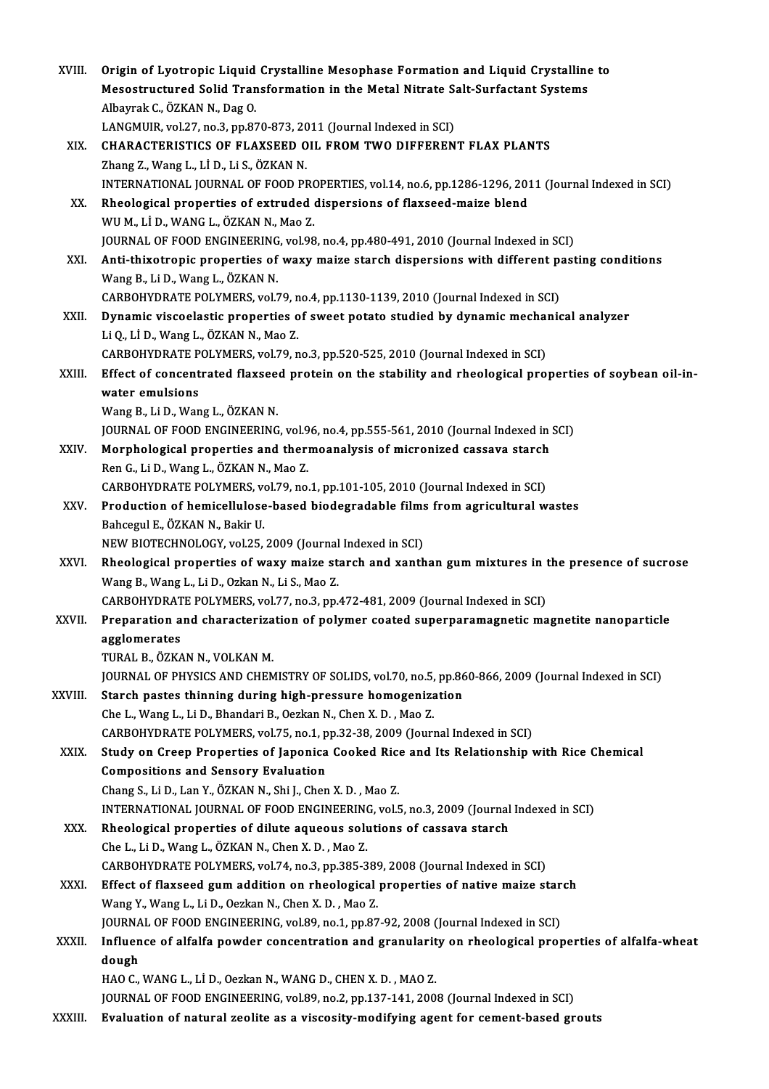| XVIII.       | Origin of Lyotropic Liquid Crystalline Mesophase Formation and Liquid Crystalline to                                                                                      |
|--------------|---------------------------------------------------------------------------------------------------------------------------------------------------------------------------|
|              | Mesostructured Solid Transformation in the Metal Nitrate Salt-Surfactant Systems                                                                                          |
|              | Albayrak C., ÖZKAN N., Dag O.                                                                                                                                             |
|              | LANGMUIR, vol.27, no.3, pp.870-873, 2011 (Journal Indexed in SCI)                                                                                                         |
| XIX.         | <b>CHARACTERISTICS OF FLAXSEED OIL FROM TWO DIFFERENT FLAX PLANTS</b>                                                                                                     |
|              | Zhang Z., Wang L., Lİ D., Li S., ÖZKAN N.                                                                                                                                 |
|              | INTERNATIONAL JOURNAL OF FOOD PROPERTIES, vol.14, no.6, pp.1286-1296, 2011 (Journal Indexed in SCI)                                                                       |
| XX.          | Rheological properties of extruded dispersions of flaxseed-maize blend                                                                                                    |
|              | WU M., Lİ D., WANG L., ÖZKAN N., Mao Z.                                                                                                                                   |
|              | JOURNAL OF FOOD ENGINEERING, vol.98, no.4, pp.480-491, 2010 (Journal Indexed in SCI)                                                                                      |
| XXI.         | Anti-thixotropic properties of waxy maize starch dispersions with different pasting conditions                                                                            |
|              | Wang B., Li D., Wang L., ÖZKAN N.                                                                                                                                         |
|              | CARBOHYDRATE POLYMERS, vol.79, no.4, pp.1130-1139, 2010 (Journal Indexed in SCI)                                                                                          |
| XXII.        | Dynamic viscoelastic properties of sweet potato studied by dynamic mechanical analyzer                                                                                    |
|              | Li Q., Lİ D., Wang L., ÖZKAN N., Mao Z.                                                                                                                                   |
|              | CARBOHYDRATE POLYMERS, vol.79, no.3, pp.520-525, 2010 (Journal Indexed in SCI)                                                                                            |
| XXIII.       | Effect of concentrated flaxseed protein on the stability and rheological properties of soybean oil-in-                                                                    |
|              | water emulsions                                                                                                                                                           |
|              | Wang B., Li D., Wang L., ÖZKAN N.<br>JOURNAL OF FOOD ENGINEERING, vol.96, no.4, pp.555-561, 2010 (Journal Indexed in SCI)                                                 |
| XXIV.        | Morphological properties and thermoanalysis of micronized cassava starch                                                                                                  |
|              | Ren G., Li D., Wang L., ÖZKAN N., Mao Z.                                                                                                                                  |
|              | CARBOHYDRATE POLYMERS, vol.79, no.1, pp.101-105, 2010 (Journal Indexed in SCI)                                                                                            |
| XXV .        | Production of hemicellulose-based biodegradable films from agricultural wastes                                                                                            |
|              | Bahcegul E, ÖZKAN N, Bakir U.                                                                                                                                             |
|              | NEW BIOTECHNOLOGY, vol.25, 2009 (Journal Indexed in SCI)                                                                                                                  |
| XXVI.        | Rheological properties of waxy maize starch and xanthan gum mixtures in the presence of sucrose                                                                           |
|              | Wang B., Wang L., Li D., Ozkan N., Li S., Mao Z.                                                                                                                          |
|              | CARBOHYDRATE POLYMERS, vol.77, no.3, pp.472-481, 2009 (Journal Indexed in SCI)                                                                                            |
| <b>XXVII</b> | Preparation and characterization of polymer coated superparamagnetic magnetite nanoparticle                                                                               |
|              | agglomerates                                                                                                                                                              |
|              | TURAL B., ÖZKAN N., VOLKAN M.                                                                                                                                             |
|              | JOURNAL OF PHYSICS AND CHEMISTRY OF SOLIDS, vol.70, no.5, pp.860-866, 2009 (Journal Indexed in SCI)                                                                       |
| XXVIII.      | Starch pastes thinning during high-pressure homogenization                                                                                                                |
|              | Che L., Wang L., Li D., Bhandari B., Oezkan N., Chen X. D., Mao Z.                                                                                                        |
| XXIX.        | CARBOHYDRATE POLYMERS, vol.75, no.1, pp.32-38, 2009 (Journal Indexed in SCI)<br>Study on Creep Properties of Japonica Cooked Rice and Its Relationship with Rice Chemical |
|              | <b>Compositions and Sensory Evaluation</b>                                                                                                                                |
|              | Chang S., Li D., Lan Y., ÖZKAN N., Shi J., Chen X. D., Mao Z.                                                                                                             |
|              | INTERNATIONAL JOURNAL OF FOOD ENGINEERING, vol.5, no.3, 2009 (Journal Indexed in SCI)                                                                                     |
| XXX.         | Rheological properties of dilute aqueous solutions of cassava starch                                                                                                      |
|              | Che L., Li D., Wang L., ÖZKAN N., Chen X. D., Mao Z.                                                                                                                      |
|              | CARBOHYDRATE POLYMERS, vol.74, no.3, pp.385-389, 2008 (Journal Indexed in SCI)                                                                                            |
| XXXI.        | Effect of flaxseed gum addition on rheological properties of native maize starch                                                                                          |
|              | Wang Y, Wang L, Li D, Oezkan N, Chen X D., Mao Z.                                                                                                                         |
|              | JOURNAL OF FOOD ENGINEERING, vol.89, no.1, pp.87-92, 2008 (Journal Indexed in SCI)                                                                                        |
| XXXII.       | Influence of alfalfa powder concentration and granularity on rheological properties of alfalfa-wheat                                                                      |
|              | dough                                                                                                                                                                     |
|              | HAO C., WANG L., Lİ D., Oezkan N., WANG D., CHEN X. D., MAO Z.                                                                                                            |
|              | JOURNAL OF FOOD ENGINEERING, vol.89, no.2, pp.137-141, 2008 (Journal Indexed in SCI)                                                                                      |
| XXXIII.      | Evaluation of natural zeolite as a viscosity-modifying agent for cement-based grouts                                                                                      |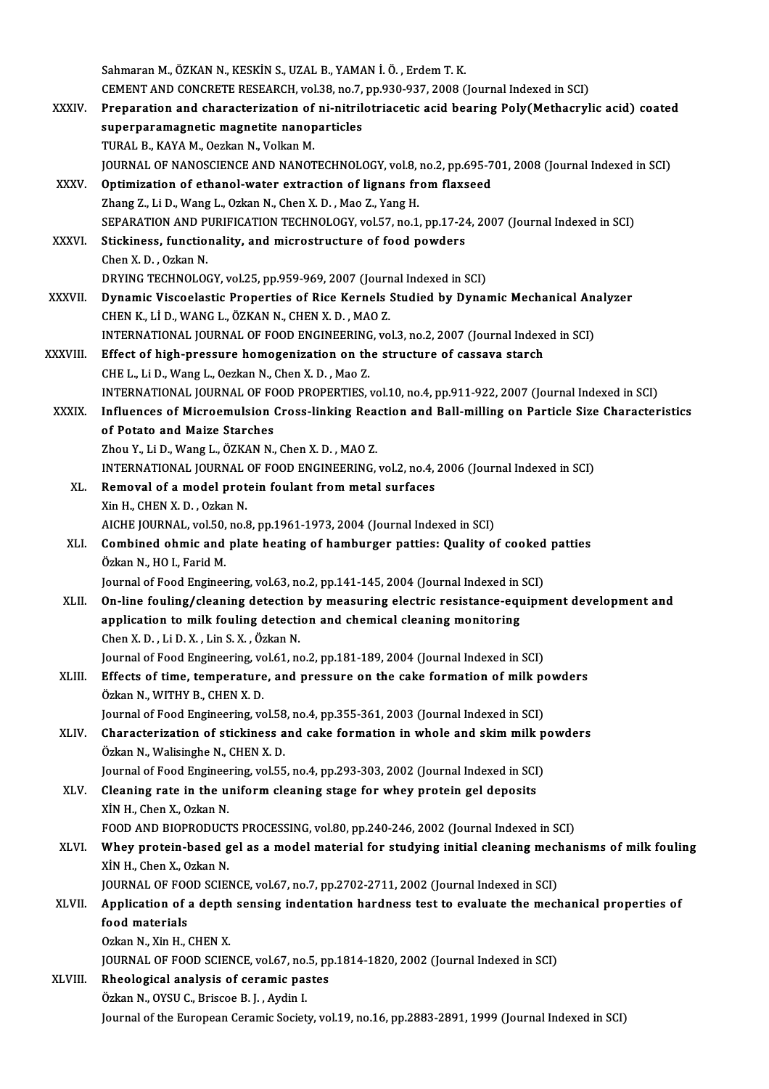|              | Sahmaran M., ÖZKAN N., KESKİN S., UZAL B., YAMAN İ. Ö., Erdem T. K.                                    |
|--------------|--------------------------------------------------------------------------------------------------------|
|              | CEMENT AND CONCRETE RESEARCH, vol.38, no.7, pp.930-937, 2008 (Journal Indexed in SCI)                  |
| XXXIV.       | Preparation and characterization of ni-nitrilotriacetic acid bearing Poly(Methacrylic acid) coated     |
|              | superparamagnetic magnetite nanoparticles                                                              |
|              | TURAL B., KAYA M., Oezkan N., Volkan M.                                                                |
|              | JOURNAL OF NANOSCIENCE AND NANOTECHNOLOGY, vol.8, no.2, pp.695-701, 2008 (Journal Indexed in SCI)      |
| <b>XXXV</b>  | Optimization of ethanol-water extraction of lignans from flaxseed                                      |
|              | Zhang Z., Li D., Wang L., Ozkan N., Chen X. D., Mao Z., Yang H.                                        |
|              | SEPARATION AND PURIFICATION TECHNOLOGY, vol.57, no.1, pp.17-24, 2007 (Journal Indexed in SCI)          |
| <b>XXXVI</b> | Stickiness, functionality, and microstructure of food powders                                          |
|              | Chen X D., Ozkan N.                                                                                    |
|              | DRYING TECHNOLOGY, vol.25, pp.959-969, 2007 (Journal Indexed in SCI)                                   |
| XXXVII.      | Dynamic Viscoelastic Properties of Rice Kernels Studied by Dynamic Mechanical Analyzer                 |
|              | CHEN K., Lİ D., WANG L., ÖZKAN N., CHEN X. D., MAO Z.                                                  |
|              | INTERNATIONAL JOURNAL OF FOOD ENGINEERING, vol.3, no.2, 2007 (Journal Indexed in SCI)                  |
| XXXVIII.     | Effect of high-pressure homogenization on the structure of cassava starch                              |
|              | CHE L., Li D., Wang L., Oezkan N., Chen X. D., Mao Z.                                                  |
|              | INTERNATIONAL JOURNAL OF FOOD PROPERTIES, vol.10, no.4, pp.911-922, 2007 (Journal Indexed in SCI)      |
| <b>XXXIX</b> | Influences of Microemulsion Cross-linking Reaction and Ball-milling on Particle Size Characteristics   |
|              | of Potato and Maize Starches                                                                           |
|              | Zhou Y., Li D., Wang L., ÖZKAN N., Chen X. D., MAO Z.                                                  |
|              | INTERNATIONAL JOURNAL OF FOOD ENGINEERING, vol.2, no.4, 2006 (Journal Indexed in SCI)                  |
| XL.          | Removal of a model protein foulant from metal surfaces                                                 |
|              | Xin H., CHEN X. D., Ozkan N.                                                                           |
|              | AICHE JOURNAL, vol.50, no.8, pp.1961-1973, 2004 (Journal Indexed in SCI)                               |
| XLI.         | Combined ohmic and plate heating of hamburger patties: Quality of cooked patties                       |
|              | Özkan N., HO I., Farid M.                                                                              |
|              | Journal of Food Engineering, vol.63, no.2, pp.141-145, 2004 (Journal Indexed in SCI)                   |
| XLII.        | On-line fouling/cleaning detection by measuring electric resistance-equipment development and          |
|              | application to milk fouling detection and chemical cleaning monitoring                                 |
|              | Chen X D., Li D. X., Lin S. X., Özkan N.                                                               |
|              | Journal of Food Engineering, vol.61, no.2, pp.181-189, 2004 (Journal Indexed in SCI)                   |
| XLIII.       | Effects of time, temperature, and pressure on the cake formation of milk powders                       |
|              | Özkan N., WITHY B., CHEN X. D.                                                                         |
|              | Journal of Food Engineering, vol.58, no.4, pp.355-361, 2003 (Journal Indexed in SCI)                   |
| XLIV.        | Characterization of stickiness and cake formation in whole and skim milk powders                       |
|              | Özkan N., Walisinghe N., CHEN X. D.                                                                    |
| XLV.         | Journal of Food Engineering, vol.55, no.4, pp.293-303, 2002 (Journal Indexed in SCI)                   |
|              | Cleaning rate in the uniform cleaning stage for whey protein gel deposits<br>XIN H., Chen X., Ozkan N. |
|              | FOOD AND BIOPRODUCTS PROCESSING, vol.80, pp.240-246, 2002 (Journal Indexed in SCI)                     |
| XLVI.        | Whey protein-based gel as a model material for studying initial cleaning mechanisms of milk fouling    |
|              | XIN H., Chen X., Ozkan N.                                                                              |
|              | JOURNAL OF FOOD SCIENCE, vol.67, no.7, pp.2702-2711, 2002 (Journal Indexed in SCI)                     |
| XLVII.       | Application of a depth sensing indentation hardness test to evaluate the mechanical properties of      |
|              | food materials                                                                                         |
|              | Ozkan N, Xin H, CHEN X                                                                                 |
|              | JOURNAL OF FOOD SCIENCE, vol.67, no.5, pp.1814-1820, 2002 (Journal Indexed in SCI)                     |
| XLVIII.      | Rheological analysis of ceramic pastes                                                                 |
|              | Özkan N., OYSU C., Briscoe B. J., Aydin I.                                                             |
|              | Journal of the European Ceramic Society, vol.19, no.16, pp.2883-2891, 1999 (Journal Indexed in SCI)    |
|              |                                                                                                        |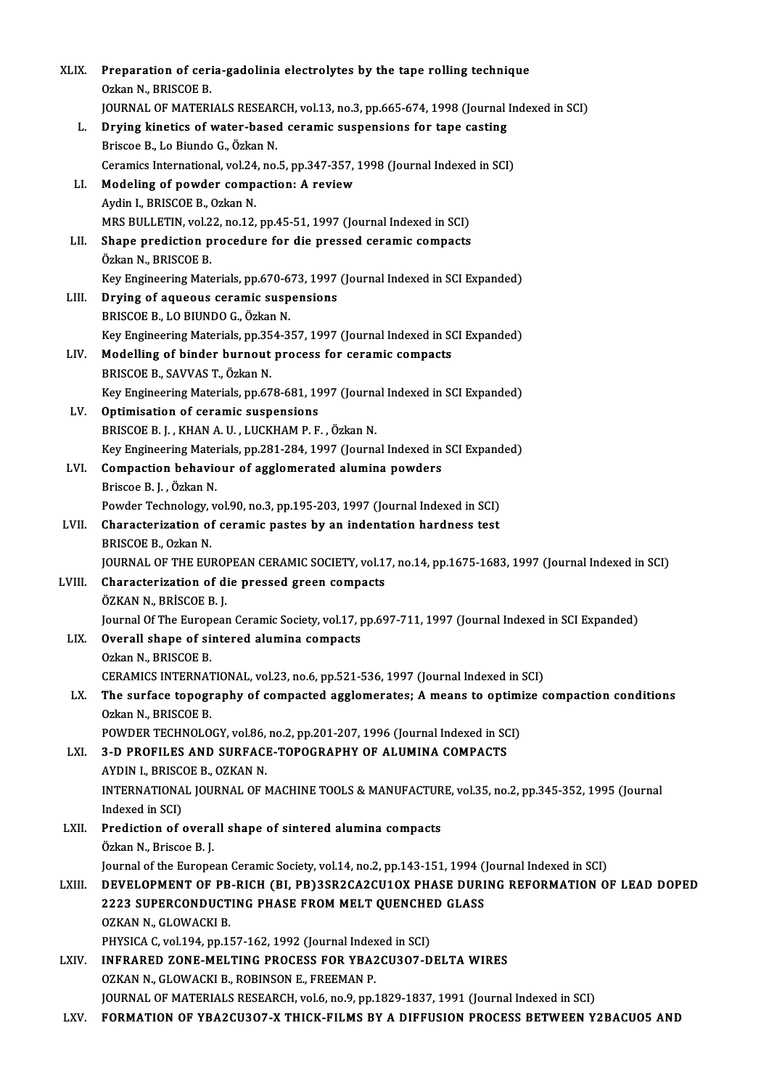| XLIX.  | Preparation of ceria-gadolinia electrolytes by the tape rolling technique                           |
|--------|-----------------------------------------------------------------------------------------------------|
|        | Ozkan N., BRISCOE B.                                                                                |
|        | JOURNAL OF MATERIALS RESEARCH, vol.13, no.3, pp.665-674, 1998 (Journal Indexed in SCI)              |
| L.     | Drying kinetics of water-based ceramic suspensions for tape casting                                 |
|        | Briscoe B., Lo Biundo G., Özkan N.                                                                  |
|        | Ceramics International, vol.24, no.5, pp.347-357, 1998 (Journal Indexed in SCI)                     |
| LI.    | Modeling of powder compaction: A review                                                             |
|        | Aydin I., BRISCOE B., Ozkan N.                                                                      |
|        | MRS BULLETIN, vol.22, no.12, pp.45-51, 1997 (Journal Indexed in SCI)                                |
| LII.   | Shape prediction procedure for die pressed ceramic compacts                                         |
|        | Özkan N., BRISCOE B.                                                                                |
|        | Key Engineering Materials, pp.670-673, 1997 (Journal Indexed in SCI Expanded)                       |
| LIII.  | Drying of aqueous ceramic suspensions                                                               |
|        | BRISCOE B., LO BIUNDO G., Özkan N.                                                                  |
|        | Key Engineering Materials, pp.354-357, 1997 (Journal Indexed in SCI Expanded)                       |
| LIV.   | Modelling of binder burnout process for ceramic compacts                                            |
|        | BRISCOE B., SAVVAS T., Özkan N.                                                                     |
|        | Key Engineering Materials, pp.678-681, 1997 (Journal Indexed in SCI Expanded)                       |
| LV.    | Optimisation of ceramic suspensions                                                                 |
|        | BRISCOE B. J., KHAN A. U., LUCKHAM P. F., Özkan N.                                                  |
|        | Key Engineering Materials, pp.281-284, 1997 (Journal Indexed in SCI Expanded)                       |
| LVI.   | Compaction behaviour of agglomerated alumina powders                                                |
|        | Briscoe B. J., Özkan N.                                                                             |
|        | Powder Technology, vol 90, no 3, pp 195-203, 1997 (Journal Indexed in SCI)                          |
| LVII.  | Characterization of ceramic pastes by an indentation hardness test                                  |
|        | BRISCOE B., Ozkan N.                                                                                |
|        | JOURNAL OF THE EUROPEAN CERAMIC SOCIETY, vol.17, no.14, pp.1675-1683, 1997 (Journal Indexed in SCI) |
| LVIII. | Characterization of die pressed green compacts                                                      |
|        | ÖZKAN N. BRÍSCOE B. L                                                                               |
|        | Journal Of The European Ceramic Society, vol.17, pp.697-711, 1997 (Journal Indexed in SCI Expanded) |
| LIX.   | Overall shape of sintered alumina compacts                                                          |
|        | Ozkan N., BRISCOE B.                                                                                |
|        | CERAMICS INTERNATIONAL, vol.23, no.6, pp.521-536, 1997 (Journal Indexed in SCI)                     |
| LX.    | The surface topography of compacted agglomerates; A means to optimize compaction conditions         |
|        | Ozkan N., BRISCOE B.                                                                                |
|        | POWDER TECHNOLOGY, vol.86, no.2, pp.201-207, 1996 (Journal Indexed in SCI)                          |
| LXI.   | 3-D PROFILES AND SURFACE-TOPOGRAPHY OF ALUMINA COMPACTS                                             |
|        | AYDIN I., BRISCOE B., OZKAN N.                                                                      |
|        | INTERNATIONAL JOURNAL OF MACHINE TOOLS & MANUFACTURE, vol.35, no.2, pp.345-352, 1995 (Journal       |
|        | Indexed in SCI)                                                                                     |
| LXII.  | Prediction of overall shape of sintered alumina compacts                                            |
|        | Özkan N., Briscoe B. J.                                                                             |
|        | Journal of the European Ceramic Society, vol.14, no.2, pp.143-151, 1994 (Journal Indexed in SCI)    |
| LXIII. | DEVELOPMENT OF PB-RICH (BI, PB)3SR2CA2CU10X PHASE DURING REFORMATION OF LEAD DOPED                  |
|        | 2223 SUPERCONDUCTING PHASE FROM MELT QUENCHED GLASS                                                 |
|        | OZKAN N., GLOWACKI B.                                                                               |
|        | PHYSICA C, vol.194, pp.157-162, 1992 (Journal Indexed in SCI)                                       |
| LXIV.  | <b>INFRARED ZONE-MELTING PROCESS FOR YBA2CU307-DELTA WIRES</b>                                      |
|        | OZKAN N., GLOWACKI B., ROBINSON E., FREEMAN P.                                                      |
|        | JOURNAL OF MATERIALS RESEARCH, vol.6, no.9, pp.1829-1837, 1991 (Journal Indexed in SCI)             |
| LXV.   | FORMATION OF YBA2CU3O7-X THICK-FILMS BY A DIFFUSION PROCESS BETWEEN Y2BACUO5 AND                    |
|        |                                                                                                     |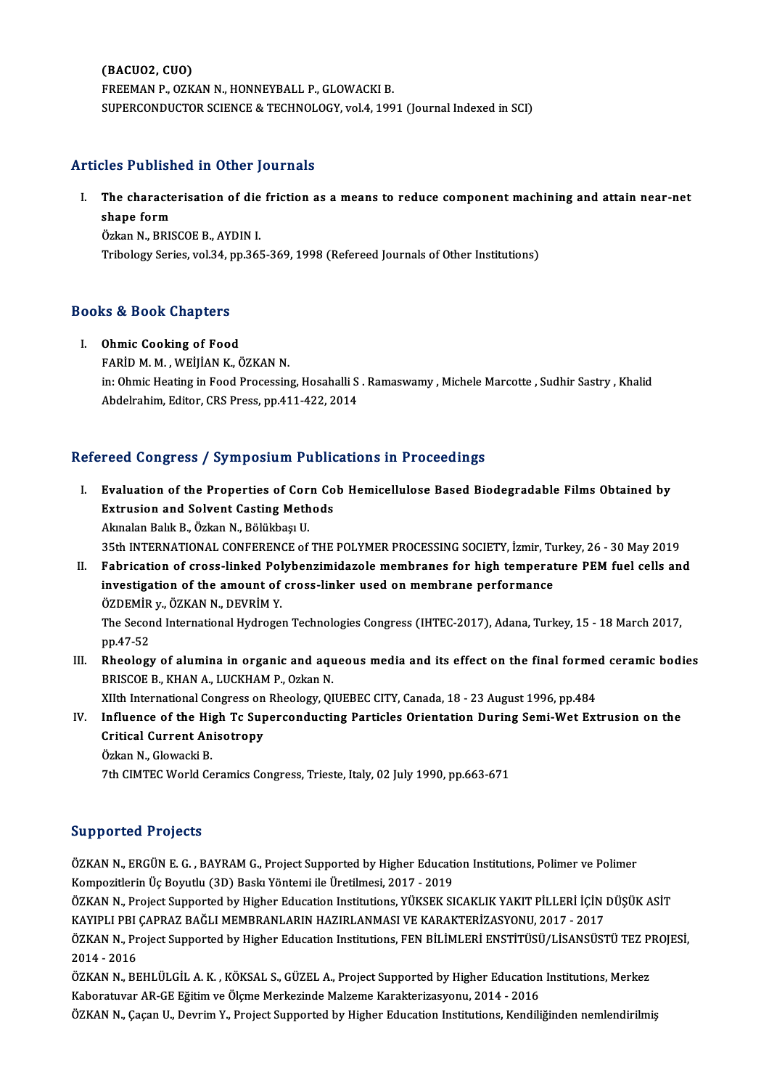(BACUO2, CUO) FREEMAN P., OZKAN N., HONNEYBALL P., GLOWACKI B. SUPERCONDUCTOR SCIENCE & TECHNOLOGY, vol.4, 1991 (Journal Indexed in SCI)

## Articles Published in Other Journals

I. The characterisation of die friction as a means to reduce component machining and attain near-net<br>I. The characterisation of die friction as a means to reduce component machining and attain near-net<br>chang form shape form<br>The characte<br>Shape form The characterisation of die<br>shape form<br>Özkan N., BRISCOE B., AYDIN I.<br>Tribology Sories vol 24, nn 261

shape form<br>Özkan N., BRISCOE B., AYDIN I.<br>Tribology Series, vol.34, pp.365-369, 1998 (Refereed Journals of Other Institutions)

# 1110010gy series, vol.34, p<br>Books & Book Chapters

**OOKS & BOOK Chapters**<br>I. Ohmic Cooking of Food<br>EAPID M.M. WEULAN V.C I. Ohmic Cooking of Food<br>FARİD M.M. , WEİJİAN K., ÖZKAN N. Ohmic Cooking of Food<br>FARİD M. M. , WEİJİAN K., ÖZKAN N.<br>in: Ohmic Heating in Food Processing, Hosahalli S . Ramaswamy , Michele Marcotte , Sudhir Sastry , Khalid<br>Ahdelrahim, Editor, CBS Press, np.411,422, 2014. FARİD M. M. , WEİJİAN K., ÖZKAN N.<br>in: Ohmic Heating in Food Processing, Hosahalli S<br>Abdelrahim, Editor, CRS Press, pp.411-422, 2014 Abdelrahim, Editor, CRS Press, pp.411-422, 2014<br>Refereed Congress / Symposium Publications in Proceedings

- efereed Congress / Symposium Publications in Proceedings<br>I. Evaluation of the Properties of Corn Cob Hemicellulose Based Biodegradable Films Obtained by<br>Extrusion and Solvent Cesting Methods Evaluation of the Properties of Corn Containsident Casting Methods<br>Extrusion and Solvent Casting Methods<br>Alunalan Palit P. Örkan N. Pälükbes: U Evaluation of the Properties of Cor<br>Extrusion and Solvent Casting Meth<br>Akınalan Balık B., Özkan N., Bölükbaşı U.<br>25th INTERNATIONAL CONEERENCE of Extrusion and Solvent Casting Methods<br>Akınalan Balık B., Özkan N., Bölükbaşı U.<br>35th INTERNATIONAL CONFERENCE of THE POLYMER PROCESSING SOCIETY, İzmir, Turkey, 26 - 30 May 2019<br>Febrisation of spees, linked Bolyhonsimidasel Akınalan Balık B., Özkan N., Bölükbaşı U.<br>35th INTERNATIONAL CONFERENCE of THE POLYMER PROCESSING SOCIETY, İzmir, Turkey, 26 - 30 May 2019<br>II. Fabrication of cross-linked Polybenzimidazole membranes for high temperature PE 35th INTERNATIONAL CONFERENCE of THE POLYMER PROCESSING SOCIETY, İzmir, Tu<br>Fabrication of cross-linked Polybenzimidazole membranes for high temperat<br>investigation of the amount of cross-linker used on membrane performance<br>
- ÖZDEMİR y., ÖZKAN N., DEVRİM Y. investigation of the amount of cross-linker used on membrane performance<br>ÖZDEMİR y., ÖZKAN N., DEVRİM Y.<br>The Second International Hydrogen Technologies Congress (IHTEC-2017), Adana, Turkey, 15 - 18 March 2017,<br>nn 47 52 ÖZDEMİR<br>The Secor<br>pp.47-52<br>Bhaalagu

The Second International Hydrogen Technologies Congress (IHTEC-2017), Adana, Turkey, 15 - 18 March 2017,<br>pp.47-52<br>III. Rheology of alumina in organic and aqueous media and its effect on the final formed ceramic bodies<br>ppIS pp.47-52<br>III. Rheology of alumina in organic and aqueous media and its effect on the final formed ceramic bodies<br>BRISCOE B., KHAN A., LUCKHAM P., Ozkan N. Rheology of alumina in organic and aqueous media and its effect on the final formed<br>BRISCOE B., KHAN A., LUCKHAM P., Ozkan N.<br>XIIth International Congress on Rheology, QIUEBEC CITY, Canada, 18 - 23 August 1996, pp.484<br>Infl

BRISCOE B., KHAN A., LUCKHAM P., Ozkan N.<br>XIIth International Congress on Rheology, QIUEBEC CITY, Canada, 18 - 23 August 1996, pp.484<br>IV. Influence of the High Tc Superconducting Particles Orientation During Semi-Wet Extru XIIth International Congress on<br>Influence of the High Tc Sup<br>Critical Current Anisotropy<br>Örkan N. Claugeki B Influence of the Hi<sub>l</sub><br>Critical Current An<br>Özkan N., Glowacki B.<br><sup>7th CIMTEC World Co</sub></sup> Critical Current Anisotropy<br>Özkan N., Glowacki B.<br>7th CIMTEC World Ceramics Congress, Trieste, Italy, 02 July 1990, pp.663-671

### Supported Projects

Supported Projects<br>ÖZKAN N., ERGÜN E. G. , BAYRAM G., Project Supported by Higher Education Institutions, Polimer ve Polimer<br>Kompositlerin Üs Berutlu (3D) Besla Väntemi ile Ünstilmesi 3017, 2019 Bupporteu Trojects<br>ÖZKAN N., ERGÜN E. G. , BAYRAM G., Project Supported by Higher Educati<br>Kompozitlerin Üç Boyutlu (3D) Baskı Yöntemi ile Üretilmesi, 2017 - 2019<br>ÖZKAN N., Project Supported by Higher Education Institutione ÖZKAN N., ERGÜN E. G. , BAYRAM G., Project Supported by Higher Education Institutions, Polimer ve Polimer<br>Kompozitlerin Üç Boyutlu (3D) Baskı Yöntemi ile Üretilmesi, 2017 - 2019<br>ÖZKAN N., Project Supported by Higher Educat

Kompozitlerin Üç Boyutlu (3D) Baskı Yöntemi ile Üretilmesi, 2017 - 2019<br>ÖZKAN N., Project Supported by Higher Education Institutions, YÜKSEK SICAKLIK YAKIT PİLLERİ İÇİN I<br>KAYIPLI PBI ÇAPRAZ BAĞLI MEMBRANLARIN HAZIRLANMASI ÖZKAN N., Project Supported by Higher Education Institutions, YÜKSEK SICAKLIK YAKIT PİLLERİ İÇİN DÜŞÜK ASİT<br>KAYIPLI PBI ÇAPRAZ BAĞLI MEMBRANLARIN HAZIRLANMASI VE KARAKTERİZASYONU, 2017 - 2017<br>ÖZKAN N., Project Supported by

KAYIPLI PBI<br>ÖZKAN N., Pr<br>2014 - 2016<br>ÖZKAN N., PR ÖZKAN N., Project Supported by Higher Education Institutions, FEN BİLİMLERİ ENSTİTÜSÜ/LİSANSÜSTÜ TEZ P.<br>2014 - 2016<br>ÖZKAN N., BEHLÜLGİL A. K. , KÖKSAL S., GÜZEL A., Project Supported by Higher Education Institutions, Merke

2014 - 2016<br>ÖZKAN N., BEHLÜLGİL A. K. , KÖKSAL S., GÜZEL A., Project Supported by Higher Education<br>Kaboratuvar AR-GE Eğitim ve Ölçme Merkezinde Malzeme Karakterizasyonu, 2014 - 2016<br>ÖZKAN N. Gasan II. Devrim Y. Project Sup ÖZKAN N., BEHLÜLGİL A. K. , KÖKSAL S., GÜZEL A., Project Supported by Higher Education Institutions, Merkez<br>Kaboratuvar AR-GE Eğitim ve Ölçme Merkezinde Malzeme Karakterizasyonu, 2014 - 2016<br>ÖZKAN N., Çaçan U., Devrim Y.,